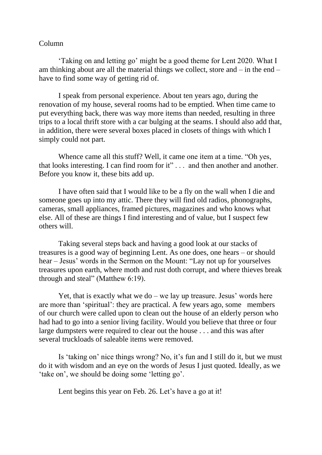## Column

'Taking on and letting go' might be a good theme for Lent 2020. What I am thinking about are all the material things we collect, store and – in the end – have to find some way of getting rid of.

I speak from personal experience. About ten years ago, during the renovation of my house, several rooms had to be emptied. When time came to put everything back, there was way more items than needed, resulting in three trips to a local thrift store with a car bulging at the seams. I should also add that, in addition, there were several boxes placed in closets of things with which I simply could not part.

Whence came all this stuff? Well, it came one item at a time. "Oh yes, that looks interesting. I can find room for it" . . . and then another and another. Before you know it, these bits add up.

I have often said that I would like to be a fly on the wall when I die and someone goes up into my attic. There they will find old radios, phonographs, cameras, small appliances, framed pictures, magazines and who knows what else. All of these are things I find interesting and of value, but I suspect few others will.

Taking several steps back and having a good look at our stacks of treasures is a good way of beginning Lent. As one does, one hears – or should hear – Jesus' words in the Sermon on the Mount: "Lay not up for yourselves treasures upon earth, where moth and rust doth corrupt, and where thieves break through and steal" (Matthew 6:19).

Yet, that is exactly what we do  $-$  we lay up treasure. Jesus' words here are more than 'spiritual': they are practical. A few years ago, some members of our church were called upon to clean out the house of an elderly person who had had to go into a senior living facility. Would you believe that three or four large dumpsters were required to clear out the house . . . and this was after several truckloads of saleable items were removed.

Is 'taking on' nice things wrong? No, it's fun and I still do it, but we must do it with wisdom and an eye on the words of Jesus I just quoted. Ideally, as we 'take on', we should be doing some 'letting go'.

Lent begins this year on Feb. 26. Let's have a go at it!